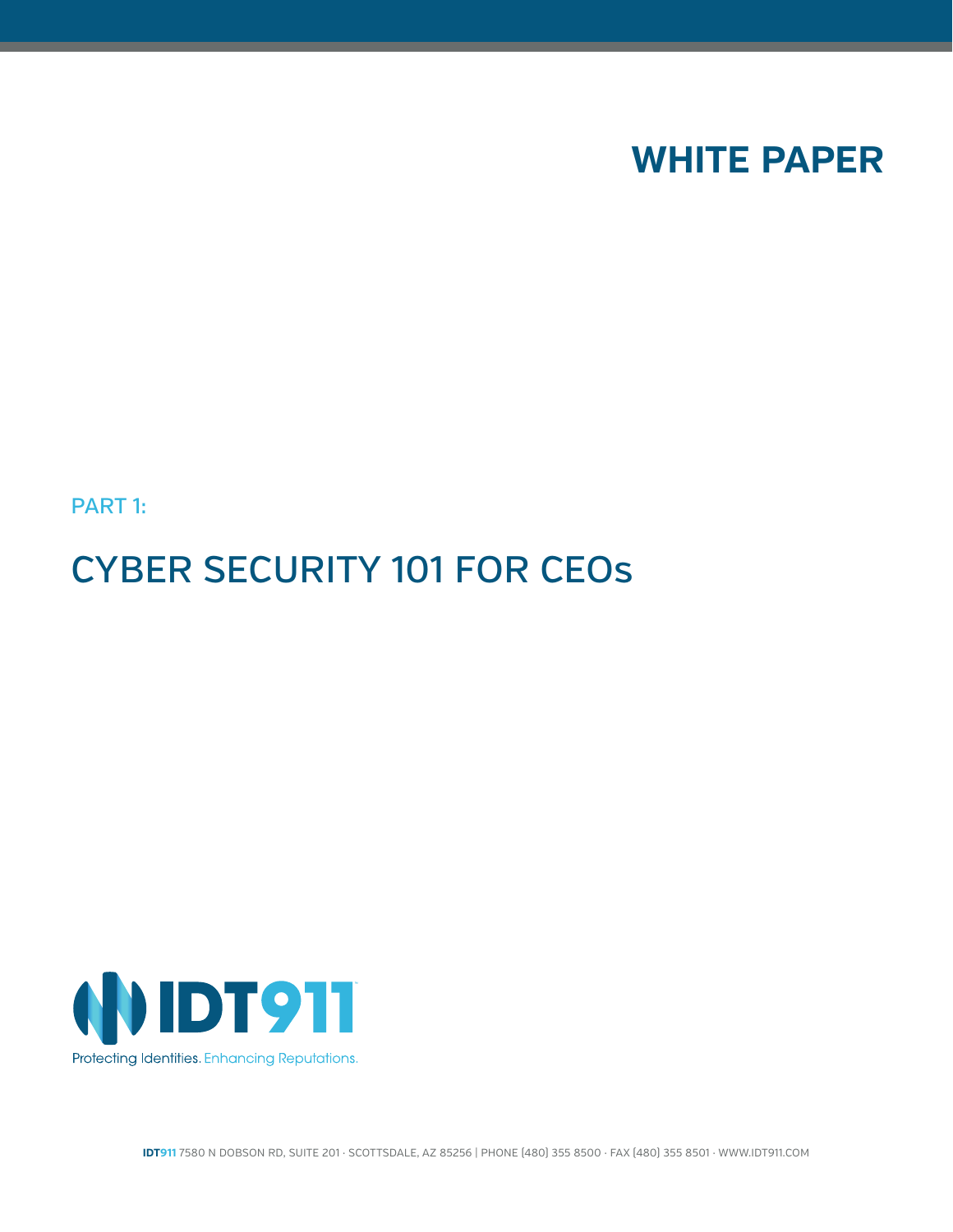

PART 1:

# CYBER SECURITY 101 FOR CEOs



**IDT911** 7580 N DOBSON RD, SUITE 201 · SCOTTSDALE, AZ 85256 | PHONE (480) 355 8500 · FAX (480) 355 8501 · WWW.IDT911.COM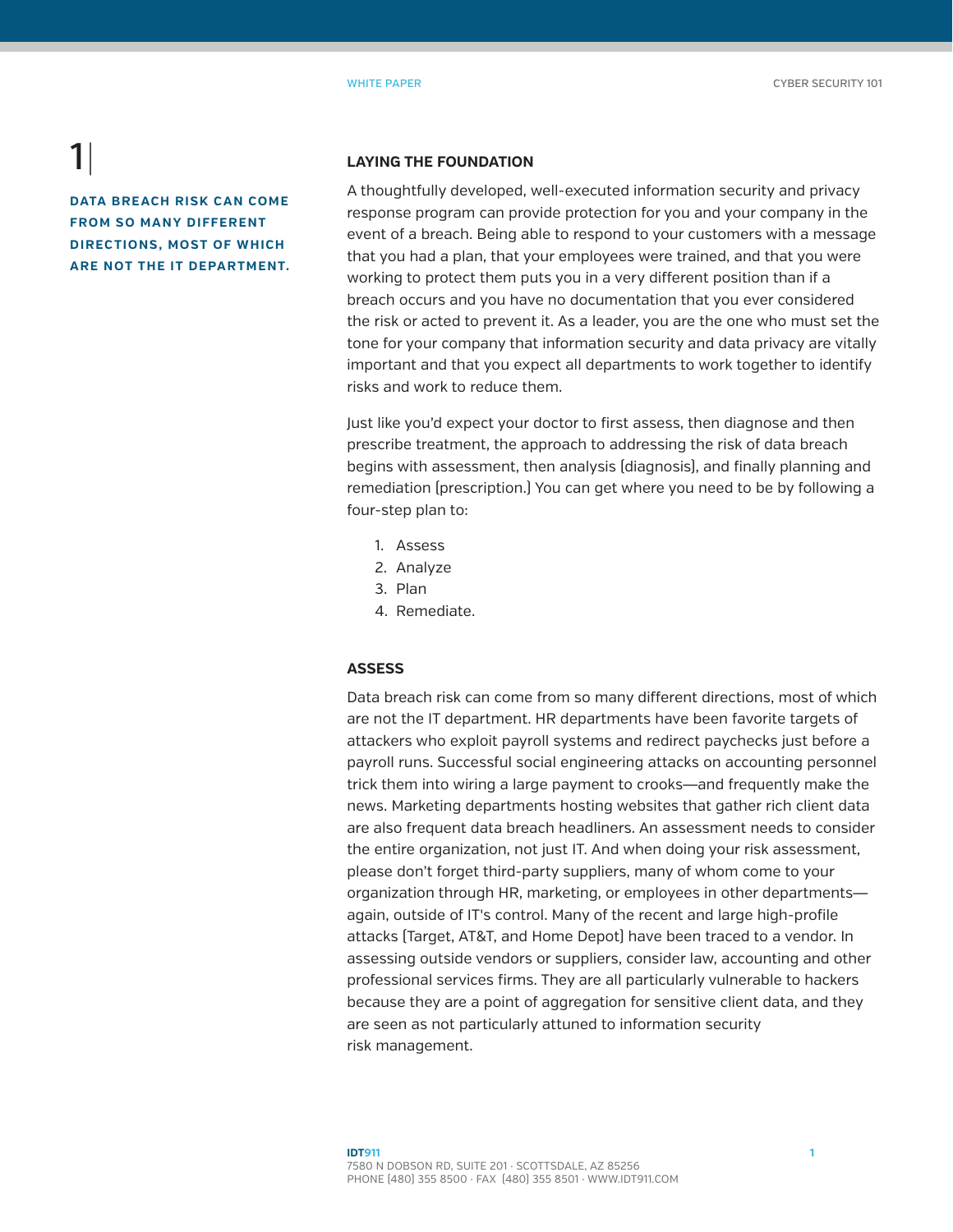# 1|

**DATA BREACH RISK CAN COME FROM SO MANY DIFFERENT DIRECTIONS, MOST OF WHICH ARE NOT THE IT DEPARTMENT.** 

### **LAYING THE FOUNDATION**

A thoughtfully developed, well-executed information security and privacy response program can provide protection for you and your company in the event of a breach. Being able to respond to your customers with a message that you had a plan, that your employees were trained, and that you were working to protect them puts you in a very different position than if a breach occurs and you have no documentation that you ever considered the risk or acted to prevent it. As a leader, you are the one who must set the tone for your company that information security and data privacy are vitally important and that you expect all departments to work together to identify risks and work to reduce them.

Just like you'd expect your doctor to first assess, then diagnose and then prescribe treatment, the approach to addressing the risk of data breach begins with assessment, then analysis (diagnosis), and finally planning and remediation (prescription.) You can get where you need to be by following a four-step plan to:

- 1. Assess
- 2. Analyze
- 3. Plan
- 4. Remediate.

## **ASSESS**

Data breach risk can come from so many different directions, most of which are not the IT department. HR departments have been favorite targets of attackers who exploit payroll systems and redirect paychecks just before a payroll runs. Successful social engineering attacks on accounting personnel trick them into wiring a large payment to crooks—and frequently make the news. Marketing departments hosting websites that gather rich client data are also frequent data breach headliners. An assessment needs to consider the entire organization, not just IT. And when doing your risk assessment, please don't forget third-party suppliers, many of whom come to your organization through HR, marketing, or employees in other departments again, outside of IT's control. Many of the recent and large high-profile attacks (Target, AT&T, and Home Depot) have been traced to a vendor. In assessing outside vendors or suppliers, consider law, accounting and other professional services firms. They are all particularly vulnerable to hackers because they are a point of aggregation for sensitive client data, and they are seen as not particularly attuned to information security risk management.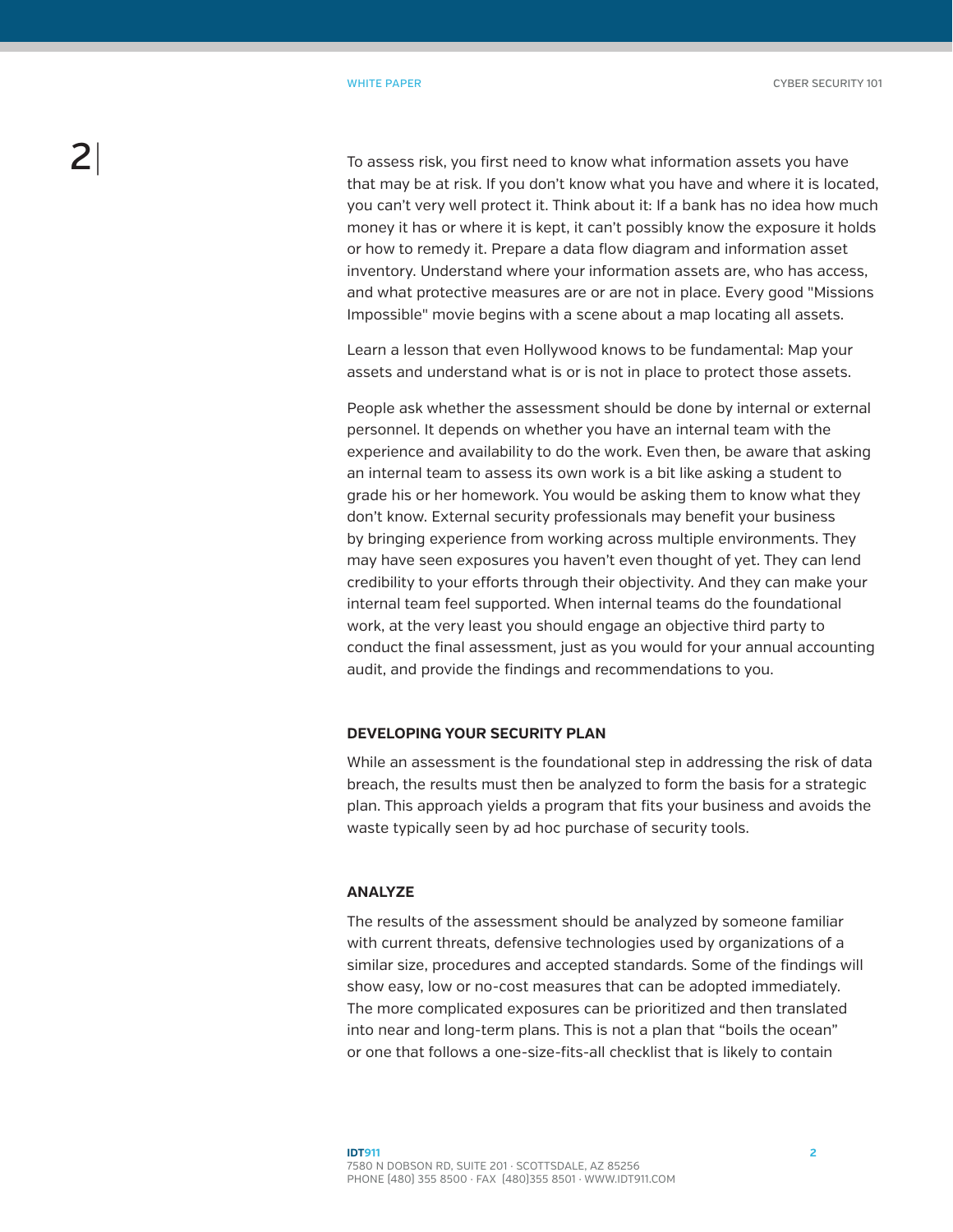To assess risk, you first need to know what information assets you have that may be at risk. If you don't know what you have and where it is located, you can't very well protect it. Think about it: If a bank has no idea how much money it has or where it is kept, it can't possibly know the exposure it holds or how to remedy it. Prepare a data flow diagram and information asset inventory. Understand where your information assets are, who has access, and what protective measures are or are not in place. Every good "Missions Impossible" movie begins with a scene about a map locating all assets.

Learn a lesson that even Hollywood knows to be fundamental: Map your assets and understand what is or is not in place to protect those assets.

People ask whether the assessment should be done by internal or external personnel. It depends on whether you have an internal team with the experience and availability to do the work. Even then, be aware that asking an internal team to assess its own work is a bit like asking a student to grade his or her homework. You would be asking them to know what they don't know. External security professionals may benefit your business by bringing experience from working across multiple environments. They may have seen exposures you haven't even thought of yet. They can lend credibility to your efforts through their objectivity. And they can make your internal team feel supported. When internal teams do the foundational work, at the very least you should engage an objective third party to conduct the final assessment, just as you would for your annual accounting audit, and provide the findings and recommendations to you.

#### **DEVELOPING YOUR SECURITY PLAN**

While an assessment is the foundational step in addressing the risk of data breach, the results must then be analyzed to form the basis for a strategic plan. This approach yields a program that fits your business and avoids the waste typically seen by ad hoc purchase of security tools.

#### **ANALYZE**

The results of the assessment should be analyzed by someone familiar with current threats, defensive technologies used by organizations of a similar size, procedures and accepted standards. Some of the findings will show easy, low or no-cost measures that can be adopted immediately. The more complicated exposures can be prioritized and then translated into near and long-term plans. This is not a plan that "boils the ocean" or one that follows a one-size-fits-all checklist that is likely to contain

2|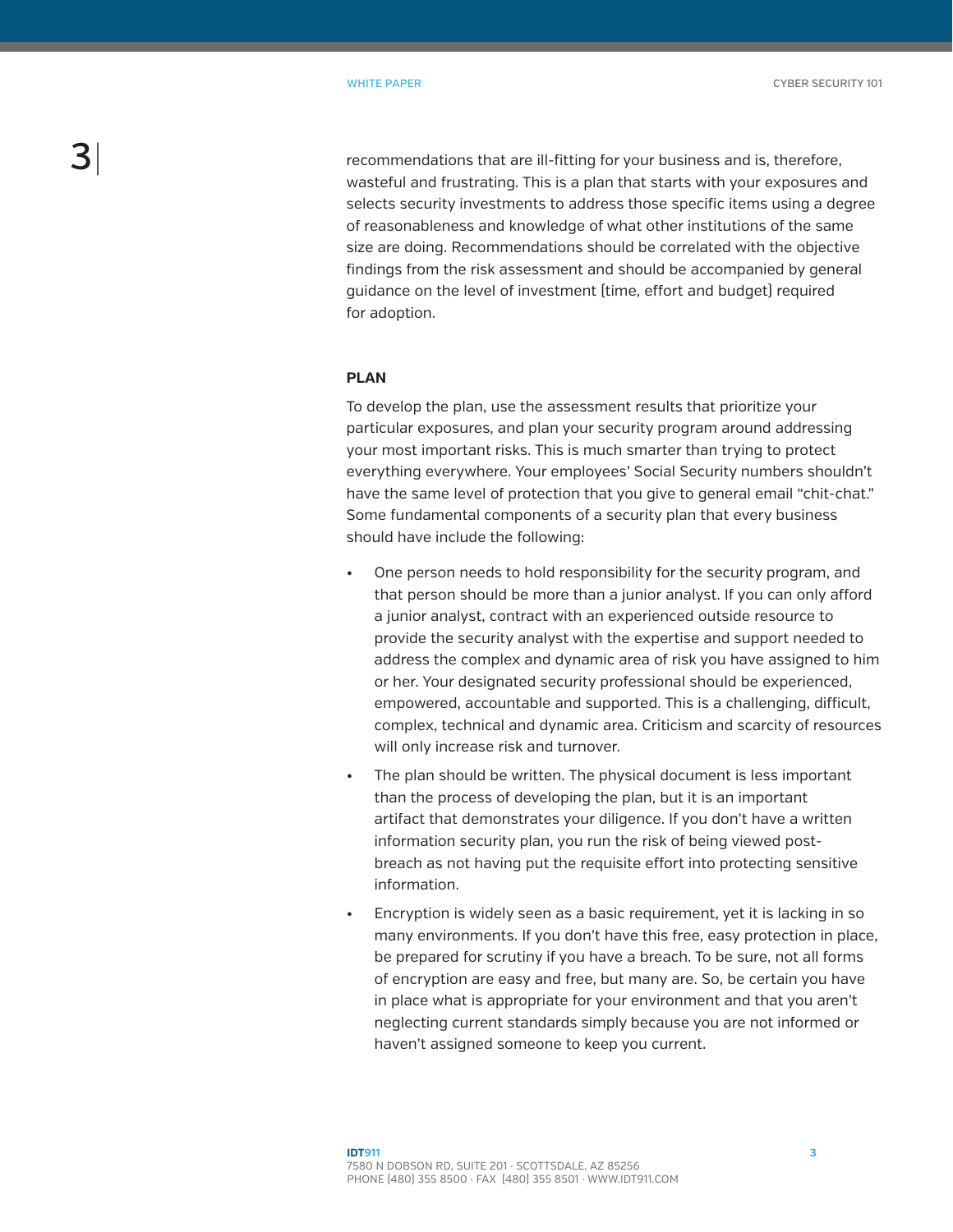3|

recommendations that are ill-fitting for your business and is, therefore, wasteful and frustrating. This is a plan that starts with your exposures and selects security investments to address those specific items using a degree of reasonableness and knowledge of what other institutions of the same size are doing. Recommendations should be correlated with the objective findings from the risk assessment and should be accompanied by general guidance on the level of investment (time, effort and budget) required for adoption.

# **PLAN**

To develop the plan, use the assessment results that prioritize your particular exposures, and plan your security program around addressing your most important risks. This is much smarter than trying to protect everything everywhere. Your employees' Social Security numbers shouldn't have the same level of protection that you give to general email "chit-chat." Some fundamental components of a security plan that every business should have include the following:

- One person needs to hold responsibility for the security program, and that person should be more than a junior analyst. If you can only afford a junior analyst, contract with an experienced outside resource to provide the security analyst with the expertise and support needed to address the complex and dynamic area of risk you have assigned to him or her. Your designated security professional should be experienced, empowered, accountable and supported. This is a challenging, difficult, complex, technical and dynamic area. Criticism and scarcity of resources will only increase risk and turnover.
- The plan should be written. The physical document is less important than the process of developing the plan, but it is an important artifact that demonstrates your diligence. If you don't have a written information security plan, you run the risk of being viewed postbreach as not having put the requisite effort into protecting sensitive information.
- Encryption is widely seen as a basic requirement, yet it is lacking in so many environments. If you don't have this free, easy protection in place, be prepared for scrutiny if you have a breach. To be sure, not all forms of encryption are easy and free, but many are. So, be certain you have in place what is appropriate for your environment and that you aren't neglecting current standards simply because you are not informed or haven't assigned someone to keep you current.